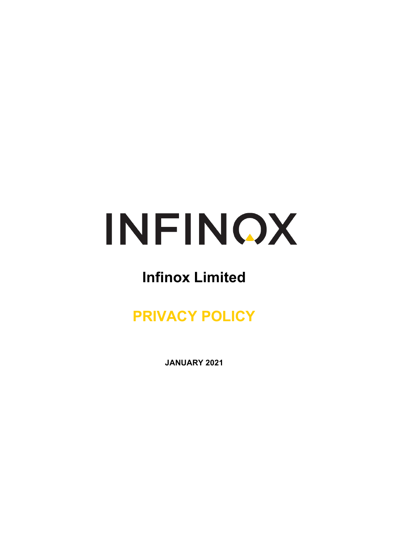

# **Infinox Limited**

# **PRIVACY POLICY**

**JANUARY 2021**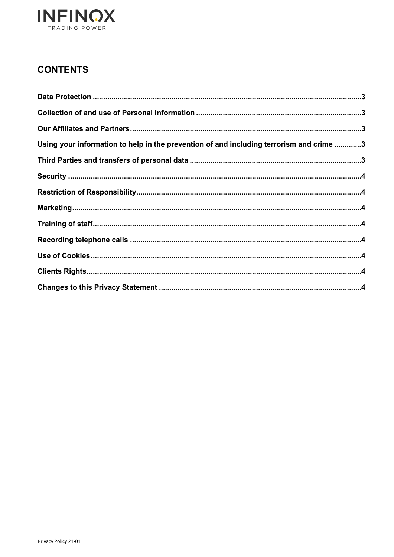

## **CONTENTS**

| Using your information to help in the prevention of and including terrorism and crime 3 |  |
|-----------------------------------------------------------------------------------------|--|
|                                                                                         |  |
|                                                                                         |  |
|                                                                                         |  |
|                                                                                         |  |
|                                                                                         |  |
|                                                                                         |  |
|                                                                                         |  |
|                                                                                         |  |
|                                                                                         |  |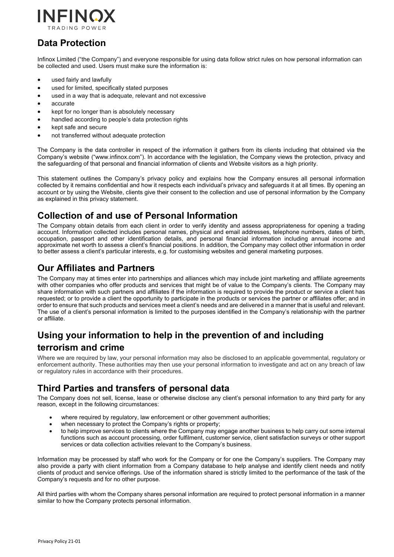

# <span id="page-2-0"></span>**Data Protection**

Infinox Limited ("the Company") and everyone responsible for using data follow strict rules on how personal information can be collected and used. Users must make sure the information is:

- used fairly and lawfully
- used for limited, specifically stated purposes
- used in a way that is adequate, relevant and not excessive
- accurate
- kept for no longer than is absolutely necessary
- handled according to people's data protection rights
- kept safe and secure
- not transferred without adequate protection

The Company is the data controller in respect of the information it gathers from its clients including that obtained via the Company's website ("www.infinox.com"). In accordance with the legislation, the Company views the protection, privacy and the safeguarding of that personal and financial information of clients and Website visitors as a high priority.

This statement outlines the Company's privacy policy and explains how the Company ensures all personal information collected by it remains confidential and how it respects each individual's privacy and safeguards it at all times. By opening an account or by using the Website, clients give their consent to the collection and use of personal information by the Company as explained in this privacy statement.

### <span id="page-2-1"></span>**Collection of and use of Personal Information**

The Company obtain details from each client in order to verify identity and assess appropriateness for opening a trading account. Information collected includes personal names, physical and email addresses, telephone numbers, dates of birth, occupation, passport and other identification details, and personal financial information including annual income and approximate net worth to assess a client's financial positions. In addition, the Company may collect other information in order to better assess a client's particular interests, e.g. for customising websites and general marketing purposes.

### <span id="page-2-2"></span>**Our Affiliates and Partners**

The Company may at times enter into partnerships and alliances which may include joint marketing and affiliate agreements with other companies who offer products and services that might be of value to the Company's clients. The Company may share information with such partners and affiliates if the information is required to provide the product or service a client has requested; or to provide a client the opportunity to participate in the products or services the partner or affiliates offer; and in order to ensure that such products and services meet a client's needs and are delivered in a manner that is useful and relevant. The use of a client's personal information is limited to the purposes identified in the Company's relationship with the partner or affiliate.

# <span id="page-2-3"></span>**Using your information to help in the prevention of and including terrorism and crime**

Where we are required by law, your personal information may also be disclosed to an applicable governmental, regulatory or enforcement authority. These authorities may then use your personal information to investigate and act on any breach of law or regulatory rules in accordance with their procedures.

## <span id="page-2-4"></span>**Third Parties and transfers of personal data**

The Company does not sell, license, lease or otherwise disclose any client's personal information to any third party for any reason, except in the following circumstances:

- where required by regulatory, law enforcement or other government authorities:
- when necessary to protect the Company's rights or property;
- to help improve services to clients where the Company may engage another business to help carry out some internal functions such as account processing, order fulfilment, customer service, client satisfaction surveys or other support services or data collection activities relevant to the Company's business.

Information may be processed by staff who work for the Company or for one the Company's suppliers. The Company may also provide a party with client information from a Company database to help analyse and identify client needs and notify clients of product and service offerings. Use of the information shared is strictly limited to the performance of the task of the Company's requests and for no other purpose.

All third parties with whom the Company shares personal information are required to protect personal information in a manner similar to how the Company protects personal information.